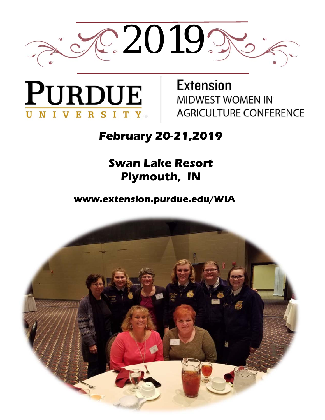



**Extension MIDWEST WOMEN IN AGRICULTURE CONFERENCE** 

### **February 20-21,2019**

### **Swan Lake Resort Plymouth, IN**

**www.extension.purdue.edu/WIA** 

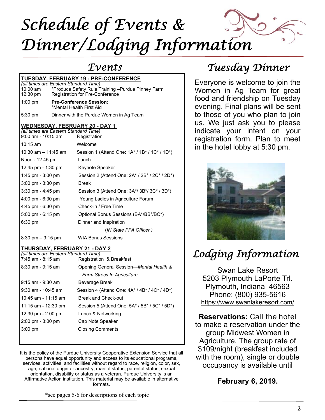

| <b>TUESDAY, FEBRUARY 19 - PRE-CONFERENCE</b>                                                                           |                                                                                             |  |  |  |
|------------------------------------------------------------------------------------------------------------------------|---------------------------------------------------------------------------------------------|--|--|--|
| (all times are Eastern Standard Time)<br>10:00 am<br>12:30 pm                                                          | *Produce Safety Rule Training -Purdue Pinney Farm<br><b>Registration for Pre-Conference</b> |  |  |  |
| $1:00$ pm                                                                                                              | <b>Pre-Conference Session:</b><br>*Mental Health First Aid                                  |  |  |  |
| $5:30$ pm                                                                                                              | Dinner with the Purdue Women in Ag Team                                                     |  |  |  |
| <b>WEDNESDAY, FEBRUARY 20 - DAY 1</b><br>(all times are Eastern Standard Time)<br>$9:00$ am - 10:15 am<br>Registration |                                                                                             |  |  |  |
| $10:15$ am                                                                                                             | Welcome                                                                                     |  |  |  |
| 10:30 am $-$ 11:45 am                                                                                                  | Session 1 (Attend One: $1A^*/1B^*/1C^*/1D^*$ )                                              |  |  |  |
| Noon - 12:45 pm                                                                                                        | I unch                                                                                      |  |  |  |
| 12:45 pm - 1:30 pm                                                                                                     | Keynote Speaker                                                                             |  |  |  |
| 1:45 pm $-$ 3:00 pm                                                                                                    | Session 2 (Attend One: 2A* / 2B* / 2C* / 2D*)                                               |  |  |  |
| $3:00 \text{ pm} - 3:30 \text{ pm}$                                                                                    | <b>Break</b>                                                                                |  |  |  |
| $3:30$ pm - $4:45$ pm                                                                                                  | Session 3 (Attend One: 3A*/ 3B*/ 3C* / 3D*)                                                 |  |  |  |
| $4:00 \text{ pm} - 6:30 \text{ pm}$                                                                                    | Young Ladies in Agriculture Forum                                                           |  |  |  |
| $4:45$ pm - 6:30 pm                                                                                                    | Check-in / Free Time                                                                        |  |  |  |
| $5:00 \text{ pm} - 6:15 \text{ pm}$                                                                                    | Optional Bonus Sessions (BA*/BB*/BC*)                                                       |  |  |  |
| $6:30 \text{ pm}$                                                                                                      | Dinner and Inspiration                                                                      |  |  |  |
|                                                                                                                        | (IN State FFA Officer)                                                                      |  |  |  |
| $8:30 \text{ pm} - 9:15 \text{ pm}$                                                                                    | <b>WIA Bonus Sessions</b>                                                                   |  |  |  |

#### **THURSDAY, FEBRUARY 21 - DAY 2**

| (all times are Eastern Standard Time)<br>7:45 am - 8:15 am | Registration & Breakfast                             |
|------------------------------------------------------------|------------------------------------------------------|
|                                                            |                                                      |
| $8:30$ am - $9:15$ am                                      | Opening General Session-Mental Health &              |
|                                                            | Farm Stress In Agriculture                           |
| $9:15$ am - $9:30$ am                                      | Beverage Break                                       |
| $9:30$ am - 10:45 am                                       | Session 4 (Attend One: $4A^* / 4B^* / 4C^* / 4D^*$ ) |
| $10:45$ am - 11:15 am                                      | <b>Break and Check-out</b>                           |
| 11:15 am - 12:30 pm                                        | Session 5 (Attend One: 5A* / 5B* / 5C* / 5D*)        |
| 12:30 pm - 2:00 pm                                         | Lunch & Networking                                   |
| $2:00 \text{ pm} - 3:00 \text{ pm}$                        | Cap Note Speaker                                     |
| $3:00 \text{ pm}$                                          | <b>Closing Comments</b>                              |
|                                                            |                                                      |

It is the policy of the Purdue University Cooperative Extension Service that all persons have equal opportunity and access to its educational programs, services, activities, and facilities without regard to race, religion, color, sex, age, national origin or ancestry, marital status, parental status, sexual orientation, disability or status as a veteran. Purdue University is an Affirmative Action institution. This material may be available in alternative formats.

\*see pages 5-6 for descriptions of each topic

### *Events Tuesday Dinner*

Everyone is welcome to join the Women in Ag Team for great food and friendship on Tuesday evening. Final plans will be sent to those of you who plan to join us. We just ask you to please indicate your intent on your registration form. Plan to meet in the hotel lobby at 5:30 pm.



### *Lodging Information*

Swan Lake Resort 5203 Plymouth LaPorte Trl. Plymouth, Indiana 46563 Phone: (800) 935-5616 https://www.swanlakeresort.com/

**Reservations:** Call the hotel to make a reservation under the group Midwest Women in Agriculture. The group rate of \$109/night (breakfast included with the room), single or double occupancy is available until

#### **February 6, 2019.**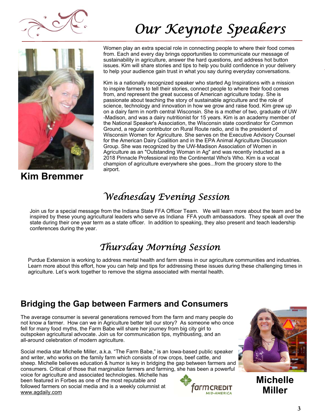

# *Our Keynote Speakers*



**Kim Bremmer** 

Women play an extra special role in connecting people to where their food comes from. Each and every day brings opportunities to communicate our message of sustainability in agriculture, answer the hard questions, and address hot button issues. Kim will share stories and tips to help you build confidence in your delivery to help your audience gain trust in what you say during everyday conversations.

Kim is a nationally recognized speaker who started Ag Inspirations with a mission to inspire farmers to tell their stories, connect people to where their food comes from, and represent the great success of American agriculture today. She is passionate about teaching the story of sustainable agriculture and the role of science, technology and innovation in how we grow and raise food. Kim grew up on a dairy farm in north central Wisconsin. She is a mother of two, graduate of UW -Madison, and was a dairy nutritionist for 15 years. Kim is an academy member of the National Speaker's Association, the Wisconsin state coordinator for Common Ground, a regular contributor on Rural Route radio, and is the president of Wisconsin Women for Agriculture. She serves on the Executive Advisory Counsel for the American Dairy Coalition and in the EPA Animal Agriculture Discussion Group. She was recognized by the UW-Madison Association of Women in Agriculture as an "Outstanding Woman in Ag" and was recently inducted as a 2018 Pinnacle Professional into the Continental Who's Who. Kim is a vocal champion of agriculture everywhere she goes...from the grocery store to the airport.

### *Wednesday Evening Session*

Join us for a special message from the Indiana State FFA Officer Team. We will learn more about the team and be inspired by these young agricultural leaders who serve as Indiana FFA youth ambassadors. They speak all over the state during their one year term as a state officer. In addition to speaking, they also present and teach leadership conferences during the year.

### *Thursday Morning Session*

Purdue Extension is working to address mental health and farm stress in our agriculture communities and industries. Learn more about this effort, how you can help and tips for addressing these issues during these challenging times in agriculture. Let's work together to remove the stigma associated with mental health.

### **Bridging the Gap between Farmers and Consumers**

The average consumer is several generations removed from the farm and many people do not know a farmer. How can we in Agriculture better tell our story? As someone who once fell for many food myths, the Farm Babe will share her journey from big city girl to outspoken agricultural advocate. Join us for communication tips, mythbusting, and an all-around celebration of modern agriculture.

Social media star Michelle Miller, a.k.a. "The Farm Babe," is an Iowa-based public speaker and writer, who works on the family farm which consists of row crops, beef cattle, and sheep. Michelle believes education & humor is key in bridging the gap between farmers and consumers. Critical of those that marginalize farmers and farming, she has been a powerful

voice for agriculture and associated technologies. Michelle has been featured in Forbes as one of the most reputable and followed farmers on social media and is a weekly columnist at www.agdaily.com





**Michelle Miller**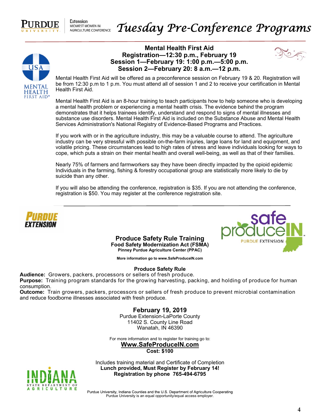

**Extension** MIDWEST WOMEN IN AGRICULTURE CONFERENCE



#### **Mental Health First Aid Registration—12:30 p.m., February 19 Session 1—February 19: 1:00 p.m.—5:00 p.m. Session 2—February 20: 8 a.m.—12 p.m.**



Mental Health First Aid will be offered as a preconference session on February 19 & 20. Registration will be from 12:30 p.m to 1 p.m. You must attend all of session 1 and 2 to receive your certification in Mental Health First Aid.

Mental Health First Aid is an 8-hour training to teach participants how to help someone who is developing a mental health problem or experiencing a mental health crisis. The evidence behind the program demonstrates that it helps trainees identify, understand and respond to signs of mental illnesses and substance use disorders. Mental Health First Aid is included on the Substance Abuse and Mental Health Services Administration's National Registry of Evidence-Based Programs and Practices.

If you work with or in the agriculture industry, this may be a valuable course to attend. The agriculture industry can be very stressful with possible on-the-farm injuries, large loans for land and equipment, and volatile pricing. These circumstances lead to high rates of stress and leave individuals looking for ways to cope, which puts a strain on their mental health and overall well-being, as well as that of their families.

Nearly 75% of farmers and farmworkers say they have been directly impacted by the opioid epidemic Individuals in the farming, fishing & forestry occupational group are statistically more likely to die by suicide than any other.

If you will also be attending the conference, registration is \$35. If you are not attending the conference, registration is \$50. You may register at the conference registration site.



**Produce Safety Rule Training Food Safety Modernization Act (FSMA) Pinney Purdue Agriculture Center (PPAC)** 



**More information go to www.SafeProduceIN.com** 

#### **Produce Safety Rule**

**Audience:** Growers, packers, processors or sellers of fresh produce.

**Purpose:** Training program standards for the growing harvesting, packing, and holding of produce for human consumption.

**Outcome:** Train growers, packers, processors or sellers of fresh produce to prevent microbial contamination and reduce foodborne illnesses associated with fresh produce.

> **February 19, 2019**  Purdue Extension-LaPorte County

> 11402 S. County Line Road Wanatah, IN 46390

For more information and to register for training go to:

**Www.SafeProduceIN.com Cost: \$100** 

Includes training material and Certificate of Completion **Lunch provided, Must Register by February 14! Registration by phone 765-494-6795** 



Purdue University, Indiana Counties and the U.S. Department of Agriculture Cooperating Purdue University is an equal opportunity/equal access employer.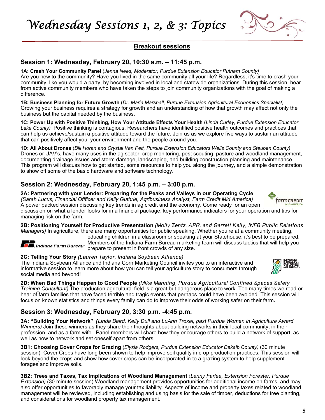*Wednesday Sessions 1, 2, & 3: Topics* 



#### **Breakout sessions**

#### **Session 1: Wednesday, February 20, 10:30 a.m. – 11:45 p.m.**

**1A: Crash Your Community Panel** (*Jenna Nees, Moderator, Purdue Extension Educator Putnam County)* Are you new to the community? Have you lived in the same community all your life? Regardless, it's time to crash your community, like you would a party, by becoming involved in local and statewide organizations. During this session, hear from active community members who have taken the steps to join community organizations with the goal of making a difference.

**1B: Business Planning for Future Growth** (*Dr. Maria Marshall, Purdue Extension Agricultural Economics Specialist)* Growing your business requires a strategy for growth and an understanding of how that growth may affect not only the business but the capital needed by the business.

**1C: Power Up with Positive Thinking, How Your Attitude Effects Your Health** (*Linda Curley, Purdue Extension Educator*  Lake County) Positive thinking is contagious. Researchers have identified positive health outcomes and practices that can help us achieve/sustain a positive attitude toward the future. Join us as we explore five ways to sustain an attitude that can positively affect you, your environment and the people around you.

**1D: All About Drones** (*Bill Horan and Crystal Van Pelt, Purdue Extension Educators Wells County and Steuben County)* Drones or UAV's, have many uses in the ag sector: crop monitoring, pest scouting, pasture and woodland management, documenting drainage issues and storm damage, landscaping, and building construction planning and maintenance. This program will discuss how to get started, some resources to help you along the journey, and a simple demonstration to show off some of the basic hardware and software technology.

#### **Session 2: Wednesday, February 20, 1:45 p.m. – 3:00 p.m.**

**2A: Partnering with your Lender: Preparing for the Peaks and Valleys in our Operating Cycle** *(Sarah Lucus, Financial Offficer and Kelly Guthrie, Agribusiness Analyst, Farm Credit Mid America)*  A power packed session discussing key trends in ag credit and the economy. Come ready for an open discussion on what a lender looks for in a financial package, key performance indicators for your operation and tips for managing risk on the farm.

**2B: Positioning Yourself for Productive Presentation** *(Molly Zentz, APR, and Garrett Kelly, INFB Public Relations Managers)* In agriculture, there are many opportunities for public speaking. Whether you're at a community meeting,

educating children in a classroom or speaking at your Statehouse, it's best to be prepared. **Members of the Indiana Farm Bureau marketing the Indiana Farm Bureau marketing team will discuss tactics that will help you** prepare to present in front crowds of any size.

#### **2C: Telling Your Story** *(Lauren Taylor, Indiana Soybean Alliance)*

The Indiana Soybean Alliance and Indiana Corn Marketing Council invites you to an interactive and informative session to learn more about how you can tell your agriculture story to consumers through social media and beyond!

**2D: When Bad Things Happen to Good People** *(Mike Manning, Purdue Agricultural Confined Spaces Safety Training Consultant)* The production agricultural field is a great but dangerous place to work. Too many times we read or hear of farm families that have faced terrible and tragic events that perhaps could have been avoided. This session will focus on known statistics and things every family can do to improve their odds of working safer on their farm**.** 

#### **Session 3: Wednesday, February 20, 3:30 p.m. -4:45 p.m.**

**3A: "Building Your Network"** *(Linda Baird, Kelly Dull and LuAnn Troxel, past Purdue Women in Agriculture Award Winners)* Join these winners as they share their thoughts about building networks in their local community, in their profession, and as a farm wife. Panel members will share how they encourage others to build a network of support, as well as how to network and set oneself apart from others.

**3B1: Choosing Cover Crops for Grazing** (*Elysia Rodgers, Purdue Extension Educator Dekalb County)* (30 minute session) Cover Crops have long been shown to help improve soil quality in crop production practices. This session will look beyond the crops and show how cover crops can be incorporated in to a grazing system to help supplement forages and improve soils.

**3B2: Trees and Taxes, Tax Implications of Woodland Management** (*Lenny Farlee, Extension Forester, Purdue Extension)* (30 minute session) Woodland management provides opportunities for additional income on farms, and may also offer opportunities to favorably manage your tax liability. Aspects of income and property taxes related to woodland management will be reviewed, including establishing and using basis for the sale of timber, deductions for tree planting, and considerations for woodland property tax management.



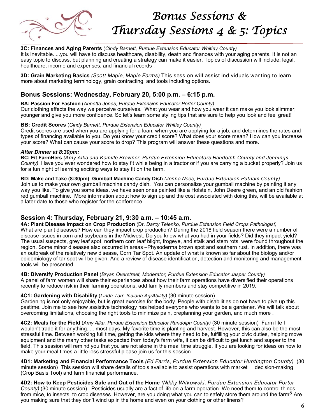

## *Bonus Sessions & Thursday Sessions 4 & 5: Topics*

#### **3C: Finances and Aging Parents** (*Cindy Barnett, Purdue Extension Educator Whitley County)*

It is inevitable.....you will have to discuss healthcare, disability, death and finances with your aging parents. It is not an easy topic to discuss, but planning and creating a strategy can make it easier. Topics of discussion will include: legal, healthcare, income and expenses, and financial records .

**3D: Grain Marketing Basics** *(Scott Maple, Maple Farms)* This session will assist individuals wanting to learn more about marketing terminology, grain contracting, and tools including options.

#### **Bonus Sessions: Wednesday, February 20, 5:00 p.m. – 6:15 p.m.**

**BA: Passion For Fashion** (*Annetta Jones, Purdue Extension Educator Porter County)*  Our clothing affects the way we perceive ourselves. What you wear and how you wear it can make you look slimmer, younger and give you more confidence. So let's learn some styling tips that are sure to help you look and feel great!

#### **BB: Credit Scores** (*Cindy Barnett, Purdue Extension Educator Whitley County)*

Credit scores are used when you are applying for a loan, when you are applying for a job, and determines the rates and types of financing available to you. Do you know your credit score? What does your score mean? How can you increase your score? What can cause your score to drop? This program will answer these questions and more.

#### *After Dinner at 8:30pm:*

**BC: Fit FarmHers** *(Amy Alka and Kamille Brawner, Purdue Extension Educators Randolph County and Jennings County)* Have you ever wondered how to stay fit while being in a tractor or if you are carrying a bucket properly? Join us for a fun night of learning exciting ways to stay fit on the farm.

#### **BD: Make and Take (8:30pm) Gumball Machine Candy Dish** *(Jenna Nees, Purdue Extension Putnam County)* Join us to make your own gumball machine candy dish. You can personalize your gumball machine by painting it any

way you like. To give you some ideas, we have seen ones painted like a Holstein, John Deere green, and an old fashion red gumball machine. More information about how to sign up and the cost associated with doing this, will be available at a later date to those who register for the conference.

#### **Session 4: Thursday, February 21, 9:30 a.m. – 10:45 a.m.**

**4A: Plant Disease Impact on Crop Production** (Dr. *Darcy Telenko, Purdue Extension Field Crops Pathologist)*  What are plant diseases? How can they impact crop production? During the 2018 field season there were a number of disease issues in corn and soybeans in the Midwest. Do you know what you had in your fields? Did they impact yield? The usual suspects, grey leaf spot, northern corn leaf blight, frogeye, and stalk and stem rots, were found throughout the region. Some minor diseases also occurred in areas –Physoderma brown spot and southern rust. In addition, there was an outbreak of the relatively new disease, Corn Tar Spot. An update of what is known so far about the biology and/or epidemiology of tar spot will be given. And a review of disease identification, detection and monitoring and management tools will be presented.

#### **4B: Diversify Production Panel** (*Bryan Overstreet, Moderator, Purdue Extension Educator Jasper County)* A panel of farm women will share their experiences about how their farm operations have diversified their operations recently to reduce risk in their farming operations, add family members and stay competitive in 2019.

#### **4C1: Gardening with Disability** (*Linda Tarr, Indiana AgrAbility)* (30 minute session)

Gardening is not only enjoyable, but is great exercise for the body. People with disabilities do not have to give up this pastime. Join me to see how assistive technology has helped everyone who wants to be a gardener. We will talk about overcoming limitations, choosing the right tools to minimize pain, preplanning your garden, and much more .

**4C2: Meals for the Field** (*Amy Alka, Purdue Extension Educator Randolph County)* (30 minute session) Farm life I wouldn't trade it for anything......most days. My favorite time is planting and harvest. However, this can also be the most stressful time. Between working full time, getting the kids where they need to be, fulfilling your civic duties, helping move equipment and the many other tasks expected from today's farm wife, it can be difficult to get lunch and supper to the field. This session will remind you that you are not alone in the meal time struggle. If you are looking for ideas on how to make your meal times a little less stressful please join us for this session.

**4D1: Marketing and Financial Performance Tools** *(Ed Farris, Purdue Extension Educator Huntington County)* (30 minute session) This session will share details of tools available to assist operations with market decision-making (Crop Basis Tool) and farm financial performance.

**4D2: How to Keep Pesticides Safe and Out of the Home** *(Nikky Witkowski, Purdue Extension Educator Porter County)* (30 minute session). Pesticides usually are a fact of life on a farm operation. We need them to control things from mice, to insects, to crop diseases. However, are you doing what you can to safely store them around the farm? Are you making sure that they don't wind up in the home and even on your clothing or other linens?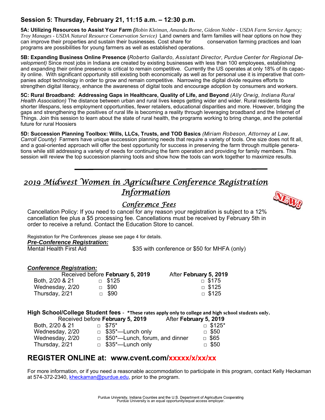#### **Session 5: Thursday, February 21, 11:15 a.m. – 12:30 p.m.**

**5A: Utilizing Resources to Assist Your Farm** *(Robin Kleiman, Amanda Borne, Gideon Nobbe - USDA Farm Service Agency; Troy Manages - USDA Natural Resource Conservation Service)* Land owners and farm families will hear options on how they can improve their properties and sustain their businesses. Cost share for conservation farming practices and loan programs are possibilities for young farmers as well as established operations.

**5B: Expanding Business Online Presence (***Roberto Gallardo, Assistant Director, Purdue Center for Regional Development)* Since most jobs in Indiana are created by existing businesses with less than 100 employees, establishing and expanding their online presence is critical to remain competitive. Currently the US operates at only 18% of its capacity online. With significant opportunity still existing both economically as well as for personal use it is imperative that companies adopt technology in order to grow and remain competitive. Narrowing the digital divide requires efforts to strengthen digital literacy, enhance the awareness of digital tools and encourage adoption by consumers and workers.

**5C: Rural Broadband: Addressing Gaps in Healthcare, Quality of Life, and Beyond** *(Ally Orwig, Indiana Rural Health Association)* The distance between urban and rural lives keeps getting wider and wider. Rural residents face shorter lifespans, less employment opportunities, fewer retailers, educational disparities and more. However, bridging the gaps and strengthening the positives of rural life is becoming a reality through leveraging broadband and the Internet of Things. Join this session to learn about the state of rural health, the programs working to bring change, and the potential future for rural Hoosiers

**5D: Succession Planning Toolbox: Wills, LLCs, Trusts, and TOD Basics** *(Miriam Robeson, Attorney at Law, Carroll County)* Farmers have unique succession planning needs that require a variety of tools. One size does not fit all, and a goal-oriented approach will offer the best opportunity for success in preserving the farm through multiple generations while still addressing a variety of needs for continuing the farm operation and providing for family members. This session will review the top succession planning tools and show how the tools can work together to maximize results.

### *2019 Midwest Women in Agriculture Conference Registration Information*

### *Conference Fees*

Cancellation Policy: If you need to cancel for any reason your registration is subject to a 12% cancellation fee plus a \$5 processing fee. Cancellations must be received by February 5th in order to receive a refund. Contact the Education Store to cancel*.* 

Registration for Pre Conferences please see page 4 for details.

*Pre-Conference Registration:* 

\$35 with conference or \$50 for MHFA (only)

#### *Conference Registration:*

|                 | Received before February 5, 2019 | After February 5, 2019 |
|-----------------|----------------------------------|------------------------|
| Both, 2/20 & 21 | $\Box$ \$125                     | $\Box$ \$175           |
| Wednesday, 2/20 | $\Box$ \$90                      | $\Box$ \$125           |
| Thursday, 2/21  | $\Box$ \$90                      | $\Box$ \$125           |

#### **High School/College Student fees** - **\*These rates apply only to college and high school students only.**

|                 | Received before February 5, 2019      | After February 5, 2019 |
|-----------------|---------------------------------------|------------------------|
| Both, 2/20 & 21 | $\Box$ \$75*                          | $\Box$ \$125*          |
| Wednesday, 2/20 | $\Box$ \$35*—Lunch only               | $\Box$ \$50            |
| Wednesday, 2/20 | $\Box$ \$50*—Lunch, forum, and dinner | $\Box$ \$65            |
| Thursday, 2/21  | $\Box$ \$35*—Lunch only               | $\Box$ \$50            |

#### **REGISTER ONLINE at: www.cvent.com/xxxxx/x/xx/xx**

For more information, or if you need a reasonable accommodation to participate in this program, contact Kelly Heckaman at 574-372-2340, kheckaman@purdue.edu, prior to the program.